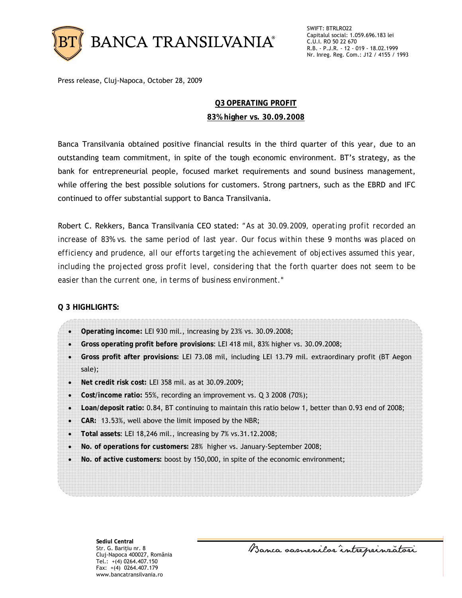

Press release, Cluj-Napoca, October 28, 2009

## **Q3 OPERATING PROFIT**

## **83% higher vs. 30.09.2008**

Banca Transilvania obtained positive financial results in the third quarter of this year, due to an outstanding team commitment, in spite of the tough economic environment. BT's strategy, as the bank for entrepreneurial people, focused market requirements and sound business management, while offering the best possible solutions for customers. Strong partners, such as the EBRD and IFC continued to offer substantial support to Banca Transilvania.

Robert C. Rekkers, Banca Transilvania CEO stated: *"As at 30.09.2009, operating profit recorded an increase of 83% vs. the same period of last year. Our focus within these 9 months was placed on efficiency and prudence, all our efforts targeting the achievement of objectives assumed this year, including the projected gross profit level, considering that the forth quarter does not seem to be easier than the current one, in terms of business environment."* 

## **Q 3 HIGHLIGHTS:**

- **Operating income:** LEI 930 mil., increasing by 23% vs. 30.09.2008;
- **Gross operating profit before provisions**: LEI 418 mil, 83% higher vs. 30.09.2008;
- **Gross profit after provisions:** LEI 73.08 mil, including LEI 13.79 mil. extraordinary profit (BT Aegon sale);
- **Net credit risk cost:** LEI 358 mil. as at 30.09.2009;
- **Cost/income ratio:** 55%, recording an improvement vs. Q 3 2008 (70%);
- **Loan/deposit ratio:** 0.84, BT continuing to maintain this ratio below 1, better than 0.93 end of 2008;
- **CAR:** 13.53%, well above the limit imposed by the NBR;
- **Total assets**: LEI 18,246 mil., increasing by 7% vs.31.12.2008;
- **No. of operations for customers:** 28% higher vs. January-September 2008;
- **No. of active customers:** boost by 150,000, in spite of the economic environment;

**Sediul Central**  Str. G. Bariţiu nr. 8 Cluj-Napoca 400027, România Tel.: +(4) 0264.407.150 Fax: +(4) 0264.407.179 www.bancatransilvania.ro

Banca samenilor intreprinzatori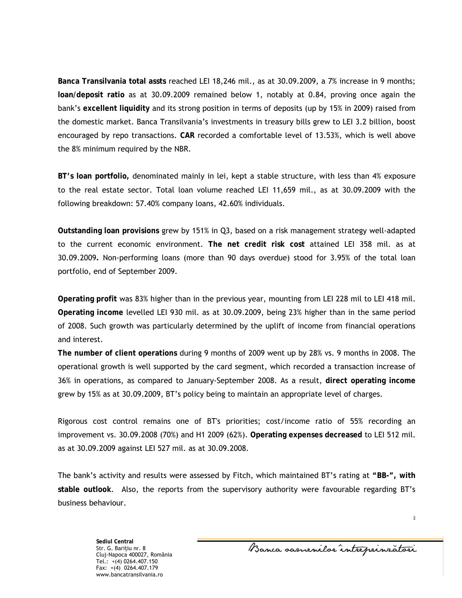**Banca Transilvania total assts** reached LEI 18,246 mil., as at 30.09.2009, a 7% increase in 9 months; **loan/deposit ratio** as at 30.09.2009 remained below 1, notably at 0.84, proving once again the bank's **excellent liquidity** and its strong position in terms of deposits (up by 15% in 2009) raised from the domestic market. Banca Transilvania's investments in treasury bills grew to LEI 3.2 billion, boost encouraged by repo transactions. **CAR** recorded a comfortable level of 13.53%, which is well above the 8% minimum required by the NBR.

**BT's loan portfolio,** denominated mainly in lei, kept a stable structure, with less than 4% exposure to the real estate sector. Total loan volume reached LEI 11,659 mil., as at 30.09.2009 with the following breakdown: 57.40% company loans, 42.60% individuals.

**Outstanding loan provisions** grew by 151% in Q3, based on a risk management strategy well-adapted to the current economic environment. **The net credit risk cost** attained LEI 358 mil. as at 30.09.2009**.** Non-performing loans (more than 90 days overdue) stood for 3.95% of the total loan portfolio, end of September 2009.

**Operating profit** was 83% higher than in the previous year, mounting from LEI 228 mil to LEI 418 mil. **Operating income** levelled LEI 930 mil. as at 30.09.2009, being 23% higher than in the same period of 2008. Such growth was particularly determined by the uplift of income from financial operations and interest.

**The number of client operations** during 9 months of 2009 went up by 28% vs. 9 months in 2008. The operational growth is well supported by the card segment, which recorded a transaction increase of 36% in operations, as compared to January-September 2008. As a result, **direct operating income**  grew by 15% as at 30.09.2009, BT's policy being to maintain an appropriate level of charges.

Rigorous cost control remains one of BT's priorities; cost/income ratio of 55% recording an improvement vs. 30.09.2008 (70%) and H1 2009 (62%). **Operating expenses decreased** to LEI 512 mil. as at 30.09.2009 against LEI 527 mil. as at 30.09.2008.

The bank's activity and results were assessed by Fitch, which maintained BT's rating at **"BB-", with stable outlook**. Also, the reports from the supervisory authority were favourable regarding BT's business behaviour.

> **Sediul Central**  Str. G. Bariţiu nr. 8 Cluj-Napoca 400027, România Tel.: +(4) 0264.407.150 Fax: +(4) 0264.407.179 www.bancatransilvania.ro

Banca samenilor intreprinzatori

2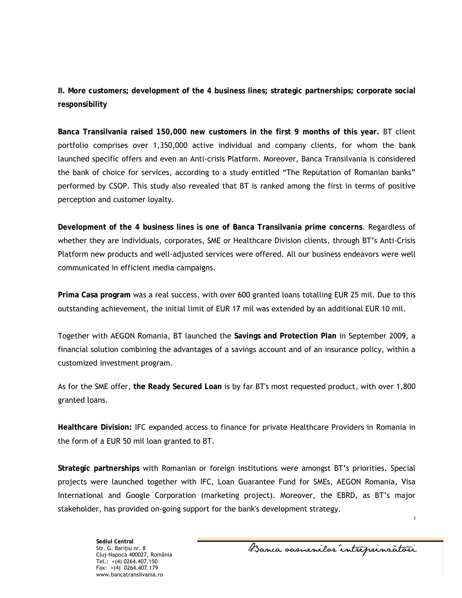**II. More customers; development of the 4 business lines; strategic partnerships; corporate social responsibility** 

**Banca Transilvania raised 150,000 new customers in the first 9 months of this year.** BT client portfolio comprises over 1,350,000 active individual and company clients, for whom the bank launched specific offers and even an Anti-crisis Platform. Moreover, Banca Transilvania is considered the bank of choice for services, according to a study entitled "The Reputation of Romanian banks" performed by CSOP. This study also revealed that BT is ranked among the first in terms of positive perception and customer loyalty.

**Development of the 4 business lines is one of Banca Transilvania prime concerns**. Regardless of whether they are individuals, corporates, SME or Healthcare Division clients, through BT's Anti-Crisis Platform new products and well-adjusted services were offered. All our business endeavors were well communicated in efficient media campaigns.

**Prima Casa program** was a real success, with over 600 granted loans totalling EUR 25 mil. Due to this outstanding achievement, the initial limit of EUR 17 mil was extended by an additional EUR 10 mil.

Together with AEGON Romania, BT launched the **Savings and Protection Plan** in September 2009, a financial solution combining the advantages of a savings account and of an insurance policy, within a customized investment program.

As for the SME offer, **the Ready Secured Loan** is by far BT's most requested product, with over 1,800 granted loans.

**Healthcare Division:** IFC expanded access to finance for private Healthcare Providers in Romania in the form of a EUR 50 mil loan granted to BT.

**Strategic partnerships** with Romanian or foreign institutions were amongst BT's priorities. Special projects were launched together with IFC, Loan Guarantee Fund for SMEs, AEGON Romania, Visa International and Google Corporation (marketing project). Moreover, the EBRD, as BT's major stakeholder, has provided on-going support for the bank's development strategy.

Banca samenilor intreprinzatori

3